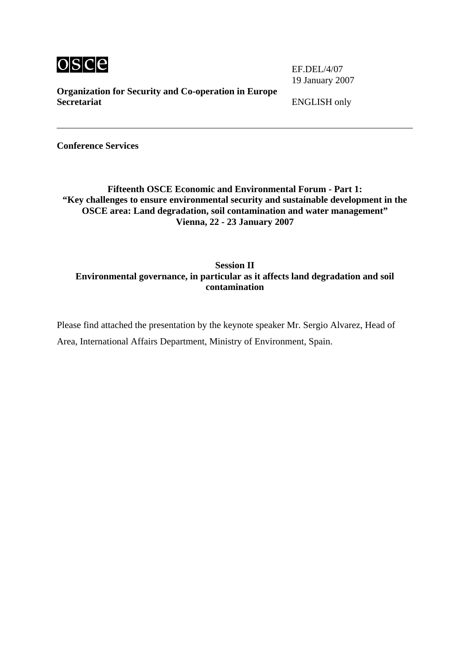

19 January 2007

**Organization for Security and Co-operation in Europe Secretariat** ENGLISH only

**Conference Services** 

**Fifteenth OSCE Economic and Environmental Forum - Part 1: "Key challenges to ensure environmental security and sustainable development in the OSCE area: Land degradation, soil contamination and water management" Vienna, 22 - 23 January 2007** 

## **Session II Environmental governance, in particular as it affects land degradation and soil contamination**

Please find attached the presentation by the keynote speaker Mr. Sergio Alvarez, Head of Area, International Affairs Department, Ministry of Environment, Spain.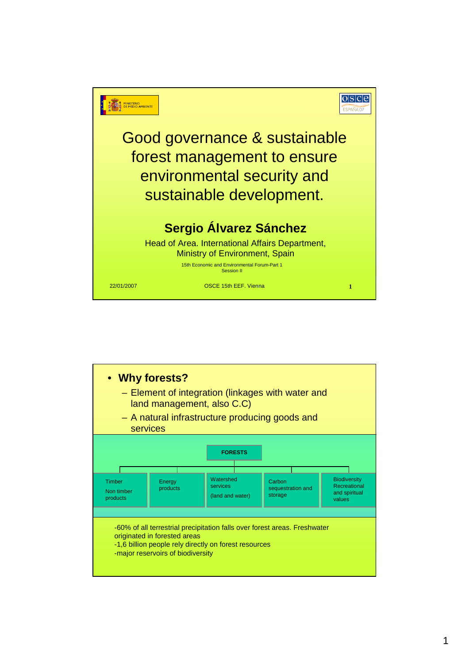

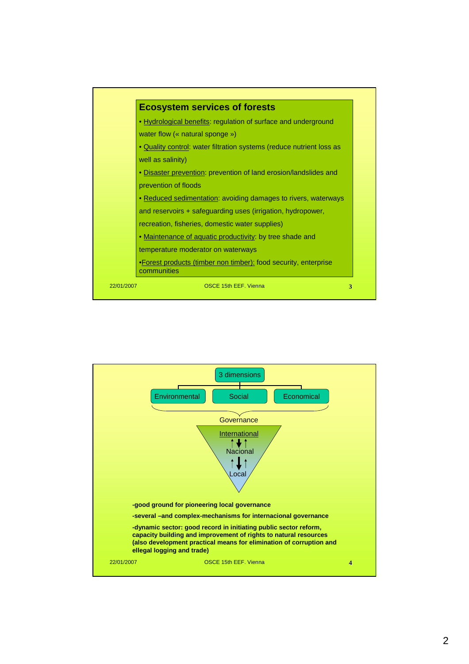

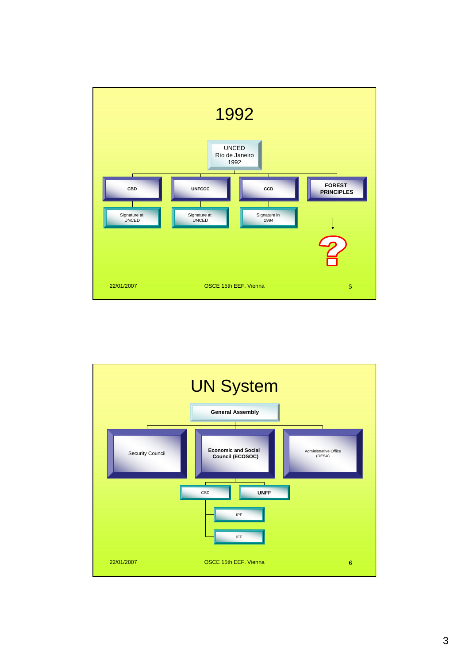

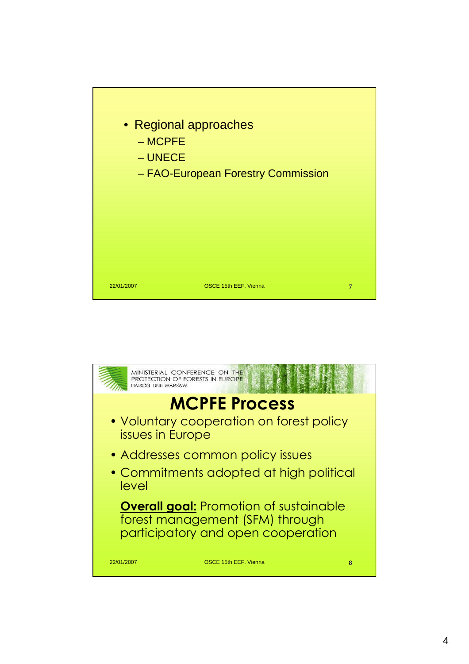

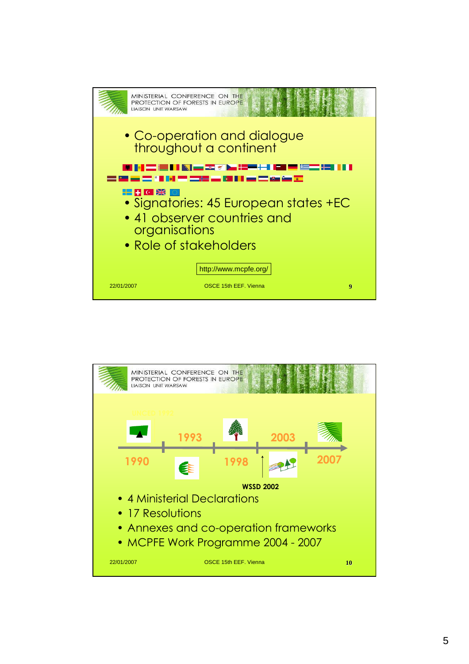

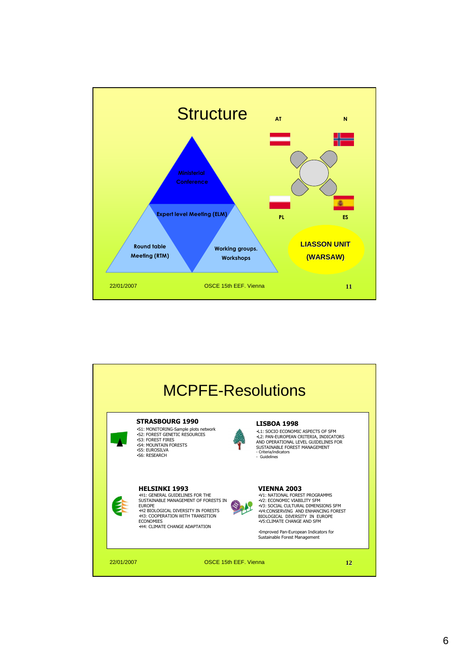

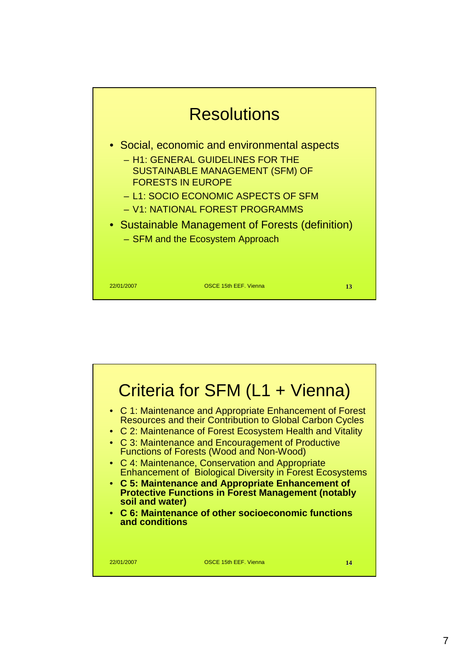

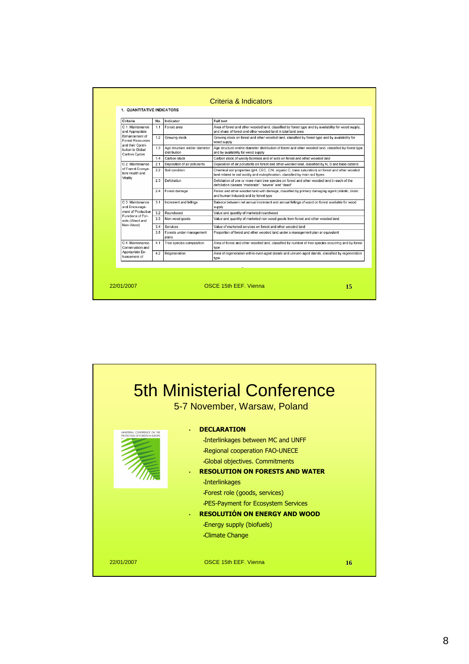| Criteria                                                                                                                                    | No. | Indicator                                     | Full text                                                                                                                                                                        |
|---------------------------------------------------------------------------------------------------------------------------------------------|-----|-----------------------------------------------|----------------------------------------------------------------------------------------------------------------------------------------------------------------------------------|
| C. 1: Maintenance<br>and Appropriate<br>Enhancement of<br><b>Forest Resources</b><br>and their Contri-<br>bution to Global<br>Carbon Cycles | 1.1 | Forest area                                   | Area of forest and other wooded land, classified by forest type and by availability for wood supply,<br>and share of forest and other wooded land in total land area             |
|                                                                                                                                             | 12  | Growing stock                                 | Growing stock on forest and other wooded land, classified by forest type and by availability for<br>wood supply                                                                  |
|                                                                                                                                             | 1.3 | Age structure and/or diameter<br>distribution | Age structure and/or diameter distribution of forest and other wooded land, classified by forest type<br>and by availability for wood supply                                     |
|                                                                                                                                             | 1.4 | Carbon stock                                  | Carbon stock of woody biomass and of soils on forest and other wooded land                                                                                                       |
| C 2: Maintenance<br>of Forest Ecosys-<br>tem Health and<br>Vitality                                                                         | 2.1 | Deposition of air pollutants                  | Deposition of air pollutants on forest and other wooded land, classified by N, S and base cations                                                                                |
|                                                                                                                                             | 2.2 | Soil condition                                | Chemical soil properties (pH, CEC, C/N, organic C, base saturation) on forest and other wooded<br>land related to soil acidity and eutrophication, classified by main soil types |
|                                                                                                                                             | 23  | Defoliation                                   | Defoliation of one or more main tree species on forest and other wooded land in each of the<br>defoliation classes "moderate", "severe" and "dead"                               |
|                                                                                                                                             | 24  | Forest damage                                 | Forest and other wooded land with damage, classified by primary damaging agent (abiotic, biotic<br>and human induced) and by forest type                                         |
| C 3: Maintenance<br>and Encourage-<br>ment of Productive<br>Functions of For-<br>ests (Wood and<br>Non-Wood)                                | 3.1 | Increment and fellings                        | Balance between net annual increment and annual fellings of wood on forest available for wood<br>supply                                                                          |
|                                                                                                                                             | 3.2 | Roundwood                                     | Value and quantity of marketed roundwood                                                                                                                                         |
|                                                                                                                                             | 3.3 | Non-wood goods                                | Value and quantity of marketed non-wood goods from forest and other wooded land                                                                                                  |
|                                                                                                                                             | 3.4 | Services                                      | Value of marketed services on forest and other wooded land                                                                                                                       |
|                                                                                                                                             | 3.5 | Forests under management<br>plans             | Proportion of forest and other wooded land under a management plan or equivalent                                                                                                 |
| C.4: Maintenance.<br>Conservation and<br>Appropriate En-<br>hancement of                                                                    | 4.1 | Tree species composition                      | Area of forest and other wooded land, classified by number of tree species occurring and by forest<br>type                                                                       |
|                                                                                                                                             | 4.2 | Regeneration                                  | Area of regeneration within even-aged stands and uneven-aged stands, classified by regeneration<br>type                                                                          |
|                                                                                                                                             |     |                                               |                                                                                                                                                                                  |

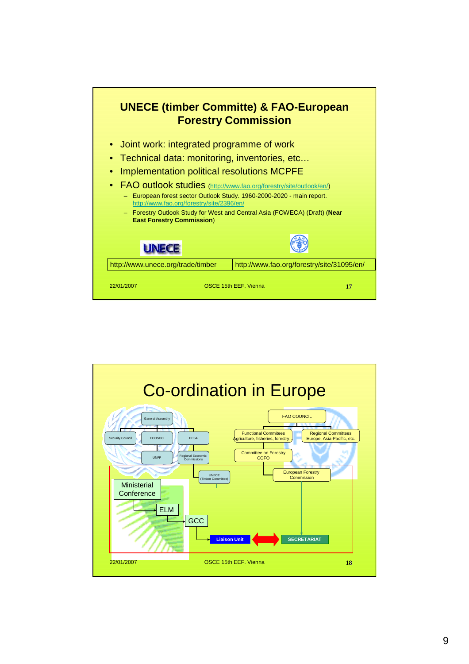

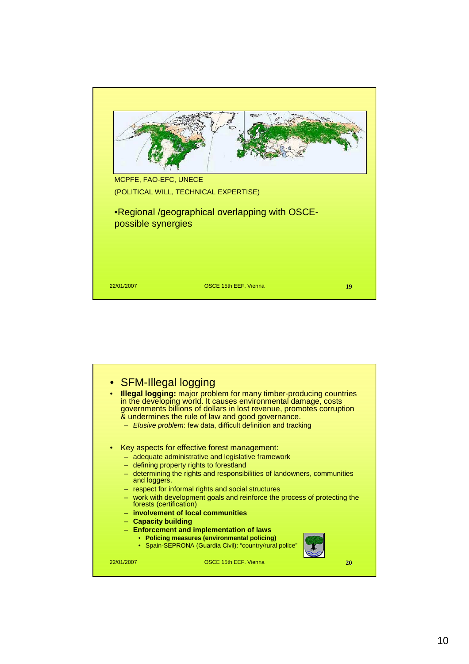